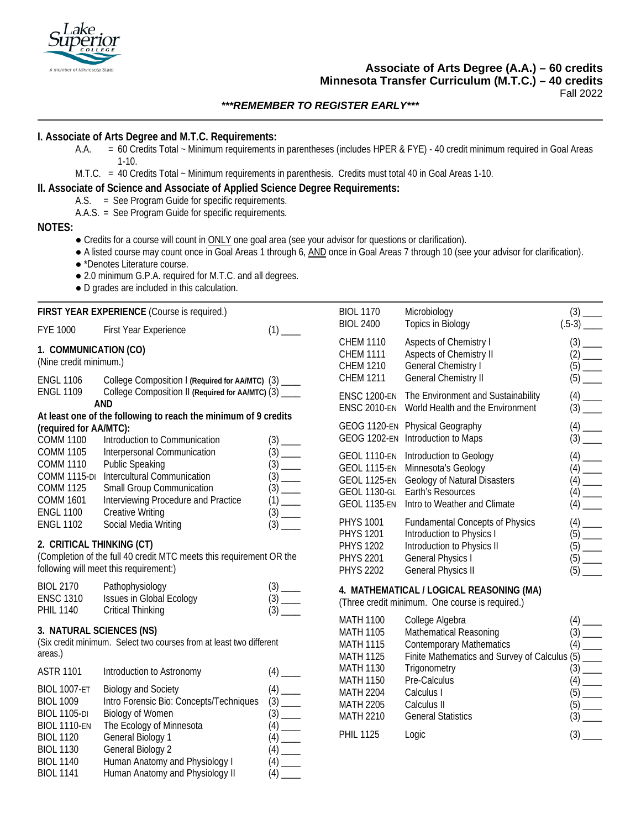

# **Associate of Arts Degree (A.A.) – 60 credits Minnesota Transfer Curriculum (M.T.C.) – 40 credits**

Fall 2022

# *\*\*\*REMEMBER TO REGISTER EARLY\*\*\**

# **I. Associate of Arts Degree and M.T.C. Requirements:**

- A.A. = 60 Credits Total ~ Minimum requirements in parentheses (includes HPER & FYE) 40 credit minimum required in Goal Areas 1-10.
- M.T.C. = 40 Credits Total ~ Minimum requirements in parenthesis. Credits must total 40 in Goal Areas 1-10.

# **II. Associate of Science and Associate of Applied Science Degree Requirements:**

#### A.S. = See Program Guide for specific requirements.

A.A.S. = See Program Guide for specific requirements.

## **NOTES:**

- Credits for a course will count in ONLY one goal area (see your advisor for questions or clarification).
- A listed course may count once in Goal Areas 1 through 6, AND once in Goal Areas 7 through 10 (see your advisor for clarification).
- \*Denotes Literature course.
- 2.0 minimum G.P.A. required for M.T.C. and all degrees.
- D grades are included in this calculation.

BIOL 1130 General Biology 2 (4) BIOL 1140 Human Anatomy and Physiology I (4) BIOL 1141 Human Anatomy and Physiology II (4)

**FIRST YEAR EXPERIENCE** (Course is required.) FYE 1000 First Year Experience (1) [1] **1. COMMUNICATION (CO)** (Nine credit minimum.) ENGL 1106 College Composition I **(Required for AA/MTC)** (3) \_\_\_\_ ENGL 1109 College Composition II **(Required for AA/MTC)** (3) \_\_\_\_ **AND At least one of the following to reach the minimum of 9 credits (required for AA/MTC):** COMM 1100 Introduction to Communication (3) \_\_\_\_ COMM 1105 Interpersonal Communication (3) \_\_\_ COMM 1110 Public Speaking (3) \_\_\_\_ COMM 1115-DI Intercultural Communication (3) \_\_\_\_ COMM 1125 Small Group Communication (3) \_\_\_\_ COMM 1601 Interviewing Procedure and Practice (1) \_\_\_\_ ENGL 1100 Creative Writing (3) \_\_\_\_<br>ENGL 1102 Social Media Writing (3) (3) Social Media Writing **2. CRITICAL THINKING (CT)** (Completion of the full 40 credit MTC meets this requirement OR the following will meet this requirement:) BIOL 2170 Pathophysiology (3) \_\_\_\_ ENSC 1310 Issues in Global Ecology (3) \_\_\_\_ PHIL 1140 Critical Thinking (3) **3. NATURAL SCIENCES (NS)** (Six credit minimum. Select two courses from at least two different areas.) ASTR 1101 Introduction to Astronomy (4) \_\_\_ BIOL 1007-ET Biology and Society (4) \_\_\_\_ BIOL 1009 Intro Forensic Bio: Concepts/Techniques (3) BIOL 1105-DI Biology of Women (3) BIOL 1110-EN The Ecology of Minnesota (4) \_\_\_\_ BIOL 1120 General Biology 1 (4) BIOL 1170 Microbiology (3) BIOL 2400 Topics in Biology [5-3] CHEM 1110 Aspects of Chemistry I (3) CHEM 1111 Aspects of Chemistry II (2) \_\_\_ CHEM 1210 General Chemistry I CHEM 1211 General Chemistry II (5) ENSC 1200-EN The Environment and Sustainability (4) \_\_\_\_<br>ENSC 2010-EN World Health and the Environment (3) ENSC 2010-EN World Health and the Environment GEOG 1120-EN Physical Geography (4) \_\_\_\_<br>GEOG 1202-EN Introduction to Maps (3) \_\_\_\_ GEOG 1202-EN Introduction to Maps GEOL 1110-EN Introduction to Geology (4) \_\_\_ GEOL 1115-EN Minnesota's Geology GEOL 1125-EN Geology of Natural Disasters (4) \_\_\_\_ GEOL 1130-GL Earth's Resources (4) \_\_\_\_ GEOL 1135-EN Intro to Weather and Climate (4) \_\_\_\_ PHYS 1001 Fundamental Concepts of Physics (4) \_\_ PHYS 1201 Introduction to Physics I PHYS 1202 Introduction to Physics II (5) PHYS 2201 General Physics I (5) PHYS 2202 General Physics II **4. MATHEMATICAL / LOGICAL REASONING (MA)** (Three credit minimum. One course is required.) MATH 1100 College Algebra (4) \_\_\_\_ MATH 1105 Mathematical Reasoning (3) \_\_\_\_<br>MATH 1115 Contemporary Mathematics (4) Contemporary Mathematics MATH 1125 Finite Mathematics and Survey of Calculus (5) \_\_\_\_ MATH 1130 Trigonometry (3) MATH 1150 Pre-Calculus<br>MATH 2204 Calculus I MATH 2204 MATH 2205 Calculus II MATH 2210 General Statistics PHIL 1125 Logic (3)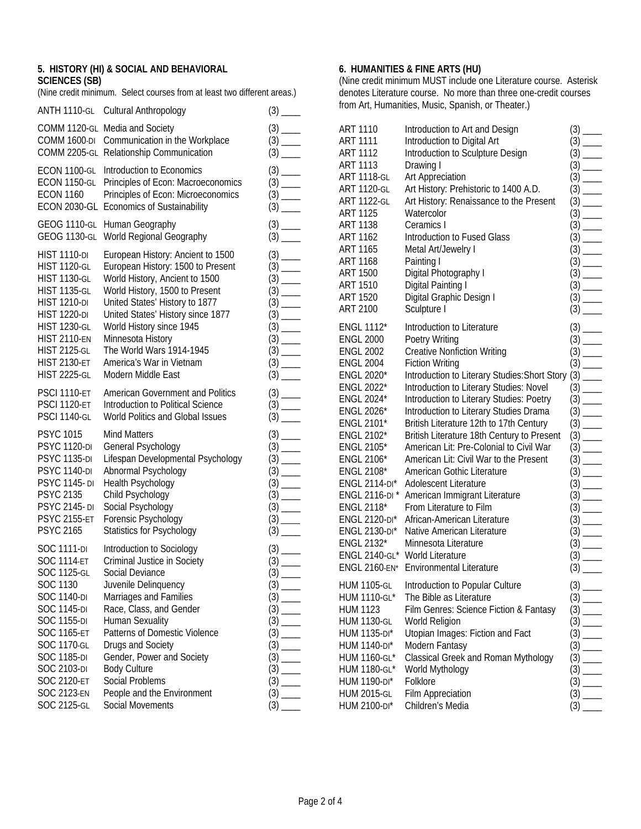# **5. HISTORY (HI) & SOCIAL AND BEHAVIORAL SCIENCES (SB)**

(Nine credit minimum. Select courses from at least two different areas.)

| <b>ANTH 1110-GL</b> | Cultural Anthropology                                                                                       |                      |
|---------------------|-------------------------------------------------------------------------------------------------------------|----------------------|
| <b>COMM 1600-DI</b> | COMM 1120-GL Media and Society<br>Communication in the Workplace<br>COMM 2205-GL Relationship Communication |                      |
| ECON 1100-GL        | Introduction to Economics                                                                                   |                      |
| <b>ECON 1150-GL</b> | Principles of Econ: Macroeconomics                                                                          |                      |
| <b>ECON 1160</b>    | Principles of Econ: Microeconomics                                                                          |                      |
| <b>ECON 2030-GL</b> | <b>Economics of Sustainability</b>                                                                          |                      |
| <b>GEOG 1110-GL</b> | Human Geography                                                                                             |                      |
| <b>GEOG 1130-GL</b> | World Regional Geography                                                                                    |                      |
| <b>HIST 1110-DI</b> | European History: Ancient to 1500                                                                           |                      |
| <b>HIST 1120-GL</b> | European History: 1500 to Present                                                                           |                      |
| <b>HIST 1130-GL</b> | World History, Ancient to 1500                                                                              |                      |
| <b>HIST 1135-GL</b> | World History, 1500 to Present                                                                              |                      |
| <b>HIST 1210-DI</b> | United States' History to 1877                                                                              |                      |
| <b>HIST 1220-DI</b> | United States' History since 1877                                                                           |                      |
| <b>HIST 1230-GL</b> | World History since 1945                                                                                    |                      |
| <b>HIST 2110-EN</b> | Minnesota History                                                                                           | $(3)$ —              |
| <b>HIST 2125-GL</b> | The World Wars 1914-1945                                                                                    |                      |
| <b>HIST 2130-ET</b> | America's War in Vietnam                                                                                    |                      |
| <b>HIST 2225-GL</b> | Modern Middle East                                                                                          | $(3)$ <sub>——</sub>  |
| <b>PSCI 1110-ET</b> | <b>American Government and Politics</b>                                                                     |                      |
| <b>PSCI 1120-ET</b> | Introduction to Political Science                                                                           |                      |
| <b>PSCI 1140-GL</b> | World Politics and Global Issues                                                                            | $(3)$ <sub>——</sub>  |
| <b>PSYC 1015</b>    | <b>Mind Matters</b>                                                                                         |                      |
| <b>PSYC 1120-DI</b> | General Psychology                                                                                          |                      |
| <b>PSYC 1135-DI</b> | Lifespan Developmental Psychology                                                                           |                      |
| <b>PSYC 1140-DI</b> | Abnormal Psychology                                                                                         |                      |
| <b>PSYC 1145-DI</b> | Health Psychology                                                                                           |                      |
| <b>PSYC 2135</b>    | Child Psychology                                                                                            |                      |
| <b>PSYC 2145-DI</b> | Social Psychology                                                                                           |                      |
| <b>PSYC 2155-ET</b> | Forensic Psychology                                                                                         |                      |
| <b>PSYC 2165</b>    | <b>Statistics for Psychology</b>                                                                            |                      |
| <b>SOC 1111-DI</b>  | Introduction to Sociology                                                                                   |                      |
| <b>SOC 1114-ET</b>  | Criminal Justice in Society                                                                                 |                      |
| <b>SOC 1125-GL</b>  | Social Deviance                                                                                             |                      |
| SOC 1130            | Juvenile Delinquency                                                                                        |                      |
| <b>SOC 1140-DI</b>  | Marriages and Families                                                                                      | $(3)$ <sub>___</sub> |
| <b>SOC 1145-DI</b>  | Race, Class, and Gender                                                                                     |                      |
| <b>SOC 1155-DI</b>  | Human Sexuality                                                                                             |                      |
| <b>SOC 1165-ET</b>  | Patterns of Domestic Violence                                                                               | $(3)$ <sub>——</sub>  |
| SOC 1170-GL         | Drugs and Society                                                                                           |                      |
| <b>SOC 1185-DI</b>  | Gender, Power and Society                                                                                   | $\frac{(3)}{(2)}$    |
| <b>SOC 2103-DI</b>  | <b>Body Culture</b>                                                                                         |                      |
| SOC 2120-ET         | Social Problems                                                                                             | $(3)$ <sub>——</sub>  |
| <b>SOC 2123-EN</b>  | People and the Environment                                                                                  |                      |
| SOC 2125-GL         | Social Movements                                                                                            | $(3)$ $-$            |

# **6. HUMANITIES & FINE ARTS (HU)**

(Nine credit minimum MUST include one Literature course. Asterisk denotes Literature course. No more than three one-credit courses from Art, Humanities, Music, Spanish, or Theater.)

| <b>ART 1110</b>      | Introduction to Art and Design                | $(3)$ .                               |
|----------------------|-----------------------------------------------|---------------------------------------|
| ART 1111             | Introduction to Digital Art                   | (3)                                   |
| <b>ART 1112</b>      | Introduction to Sculpture Design              | (3)                                   |
| <b>ART 1113</b>      | Drawing I                                     | $(3)$ $-$                             |
| <b>ART 1118-GL</b>   | Art Appreciation                              |                                       |
| <b>ART 1120-GL</b>   | Art History: Prehistoric to 1400 A.D.         |                                       |
| <b>ART 1122-GL</b>   | Art History: Renaissance to the Present       | $(3)$ $-$                             |
| <b>ART 1125</b>      | Watercolor                                    |                                       |
| <b>ART 1138</b>      | Ceramics I                                    | $(3)$ $\equiv$                        |
| <b>ART 1162</b>      | Introduction to Fused Glass                   | $(3)$ $-$                             |
| <b>ART 1165</b>      | Metal Art/Jewelry I                           | $(3)$ $-$<br>$\overline{\phantom{a}}$ |
| <b>ART 1168</b>      | Painting I                                    | $(3)$ $-$<br>$\overline{a}$           |
| <b>ART 1500</b>      | Digital Photography I                         | $(3)$ $-$                             |
| <b>ART 1510</b>      | Digital Painting I                            | $(3)$ __                              |
| <b>ART 1520</b>      | Digital Graphic Design I                      |                                       |
| <b>ART 2100</b>      | Sculpture I                                   |                                       |
| <b>ENGL 1112*</b>    | Introduction to Literature                    |                                       |
| <b>ENGL 2000</b>     | Poetry Writing                                |                                       |
| <b>ENGL 2002</b>     | <b>Creative Nonfiction Writing</b>            |                                       |
| <b>ENGL 2004</b>     | <b>Fiction Writing</b>                        |                                       |
| <b>ENGL 2020*</b>    | Introduction to Literary Studies: Short Story | $(3)$ $-$                             |
| ENGL 2022*           | Introduction to Literary Studies: Novel       | $(3)$ $-$                             |
| ENGL 2024*           | Introduction to Literary Studies: Poetry      | (3)                                   |
| <b>ENGL 2026*</b>    | Introduction to Literary Studies Drama        | $(3)$ $-$                             |
| ENGL 2101*           | British Literature 12th to 17th Century       | $(3)$ $\overline{\phantom{0}}$        |
| ENGL 2102*           | British Literature 18th Century to Present    | $(3)$ —                               |
| <b>ENGL 2105*</b>    | American Lit: Pre-Colonial to Civil War       | $(3)$ —                               |
| ENGL 2106*           | American Lit: Civil War to the Present        |                                       |
| <b>ENGL 2108*</b>    | American Gothic Literature                    |                                       |
| <b>ENGL 2114-DI*</b> | Adolescent Literature                         |                                       |
| ENGL 2116-DI*        | American Immigrant Literature                 |                                       |
| ENGL 2118*           | From Literature to Film                       |                                       |
| ENGL 2120-DI*        | African-American Literature                   | $(3)$ $-$<br>$\overline{\phantom{a}}$ |
| ENGL 2130-DI*        | Native American Literature                    | $(3)$ $-$<br>$\overline{\phantom{a}}$ |
| ENGL 2132*           | Minnesota Literature                          | $(3)$ $-$                             |
| ENGL 2140-GL*        | World Literature                              | $(3)$ $-$                             |
| <b>ENGL 2160-EN*</b> | <b>Environmental Literature</b>               | $(3)$ $-$                             |
| <b>HUM 1105-GL</b>   | Introduction to Popular Culture               |                                       |
| <b>HUM 1110-GL*</b>  | The Bible as Literature                       |                                       |
| <b>HUM 1123</b>      | Film Genres: Science Fiction & Fantasy        |                                       |
| <b>HUM 1130-GL</b>   | World Religion                                |                                       |
| <b>HUM 1135-DI*</b>  | Utopian Images: Fiction and Fact              |                                       |
| <b>HUM 1140-DI*</b>  | Modern Fantasy                                | (3)                                   |
| <b>HUM 1160-GL*</b>  | Classical Greek and Roman Mythology           | (3)                                   |
| <b>HUM 1180-GL*</b>  | World Mythology                               | (3)                                   |
| <b>HUM 1190-DI*</b>  | Folklore                                      | (3)                                   |
| <b>HUM 2015-GL</b>   | <b>Film Appreciation</b>                      | (3)                                   |
| <b>HUM 2100-DI*</b>  | Children's Media                              | (3)                                   |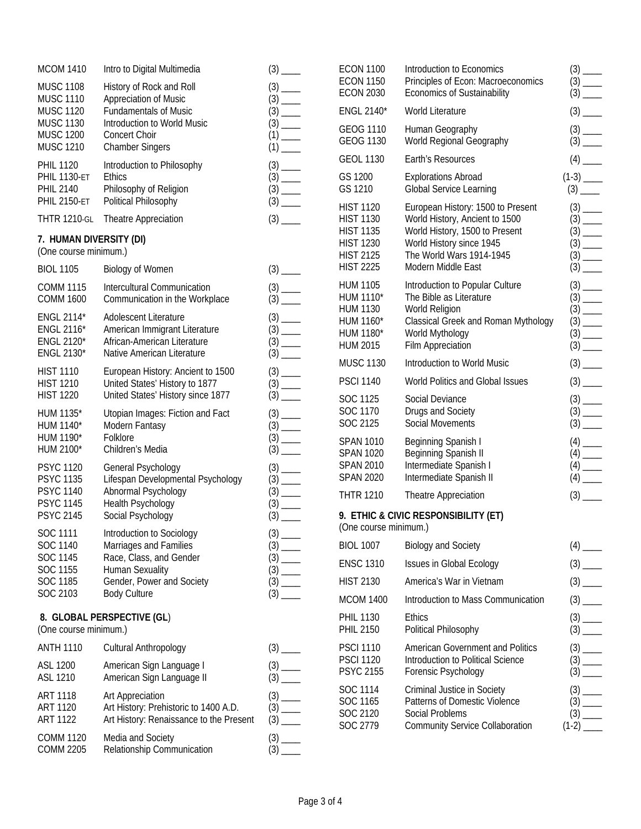| <b>MCOM 1410</b>                                               | Intro to Digital Multimedia                                                                          |                                                                             | <b>ECON 1100</b>                                             | Introducti                                    |
|----------------------------------------------------------------|------------------------------------------------------------------------------------------------------|-----------------------------------------------------------------------------|--------------------------------------------------------------|-----------------------------------------------|
| <b>MUSC 1108</b><br><b>MUSC 1110</b>                           | History of Rock and Roll<br>Appreciation of Music                                                    |                                                                             | <b>ECON 1150</b><br><b>ECON 2030</b>                         | Principle:<br>Economi                         |
| <b>MUSC 1120</b><br><b>MUSC 1130</b><br><b>MUSC 1200</b>       | <b>Fundamentals of Music</b><br>Introduction to World Music<br><b>Concert Choir</b>                  | $(1)$ $\frac{\ }{\ }$                                                       | ENGL 2140*<br>GEOG 1110                                      | World Lit<br>Human G                          |
| <b>MUSC 1210</b>                                               | <b>Chamber Singers</b>                                                                               |                                                                             | <b>GEOG 1130</b>                                             | World Re                                      |
| <b>PHIL 1120</b>                                               | Introduction to Philosophy                                                                           |                                                                             | <b>GEOL 1130</b>                                             | Earth's R                                     |
| <b>PHIL 1130-ET</b><br><b>PHIL 2140</b><br><b>PHIL 2150-ET</b> | <b>Ethics</b><br>Philosophy of Religion<br>Political Philosophy                                      |                                                                             | GS 1200<br>GS 1210                                           | Explorati<br>Global S                         |
| <b>THTR 1210-GL</b>                                            | Theatre Appreciation                                                                                 |                                                                             | <b>HIST 1120</b><br><b>HIST 1130</b>                         | Europear<br>World His                         |
| 7. HUMAN DIVERSITY (DI)<br>(One course minimum.)               |                                                                                                      |                                                                             | <b>HIST 1135</b><br><b>HIST 1230</b><br><b>HIST 2125</b>     | World His<br>World His<br>The Worl            |
| <b>BIOL 1105</b>                                               | <b>Biology of Women</b>                                                                              |                                                                             | <b>HIST 2225</b>                                             | Modern N                                      |
| <b>COMM 1115</b><br><b>COMM 1600</b>                           | Intercultural Communication<br>Communication in the Workplace                                        | $\begin{array}{c} (3) \quad \text{---} \\ (3) \quad \text{---} \end{array}$ | <b>HUM 1105</b><br>HUM 1110*                                 | Introducti<br>The Bible                       |
| ENGL 2114*<br><b>ENGL 2116*</b><br><b>ENGL 2120*</b>           | Adolescent Literature<br>American Immigrant Literature<br>African-American Literature                | $\frac{(3) - (3) - (3) - (3)}{(3) - (3) - (3) - (3)}$                       | <b>HUM 1130</b><br>HUM 1160*<br>HUM 1180*<br><b>HUM 2015</b> | World Re<br>Classical<br>World My<br>Film App |
| ENGL 2130*                                                     | Native American Literature                                                                           |                                                                             | <b>MUSC 1130</b>                                             | Introducti                                    |
| <b>HIST 1110</b><br><b>HIST 1210</b>                           | European History: Ancient to 1500<br>United States' History to 1877                                  |                                                                             | <b>PSCI 1140</b>                                             | World Po                                      |
| <b>HIST 1220</b>                                               | United States' History since 1877                                                                    |                                                                             | SOC 1125                                                     | Social De                                     |
| HUM 1135*<br>HUM 1140*<br>HUM 1190*                            | Utopian Images: Fiction and Fact<br>Modern Fantasy<br>Folklore                                       | $(3)$ <sub>----</sub><br>$(3)$ <sub>----</sub>                              | SOC 1170<br>SOC 2125                                         | Drugs an<br>Social Mo                         |
| HUM 2100*                                                      | Children's Media                                                                                     |                                                                             | <b>SPAN 1010</b><br><b>SPAN 1020</b>                         | <b>Beginning</b><br><b>Beginning</b>          |
| <b>PSYC 1120</b>                                               | General Psychology                                                                                   | $(3)$ <sub>———</sub>                                                        | <b>SPAN 2010</b><br><b>SPAN 2020</b>                         | Intermed<br>Intermed                          |
| <b>PSYC 1135</b><br><b>PSYC 1140</b><br><b>PSYC 1145</b>       | Lifespan Developmental Psychology<br>Abnormal Psychology<br>Health Psychology                        |                                                                             | <b>THTR 1210</b>                                             | Theatre /                                     |
| <b>PSYC 2145</b><br>SOC 1111                                   | Social Psychology<br>Introduction to Sociology                                                       |                                                                             | 9. ETHIC & CIVIC RESPO<br>(One course minimum.)              |                                               |
| SOC 1140                                                       | Marriages and Families                                                                               |                                                                             | <b>BIOL 1007</b>                                             | Biology a                                     |
| SOC 1145<br>SOC 1155                                           | Race, Class, and Gender<br><b>Human Sexuality</b>                                                    |                                                                             | <b>ENSC 1310</b>                                             | Issues in                                     |
| SOC 1185                                                       | Gender, Power and Society                                                                            | $\begin{array}{c} (3) \quad \text{---} \\ (3) \quad \text{---} \end{array}$ | <b>HIST 2130</b>                                             | America <sup>'</sup>                          |
| SOC 2103                                                       | <b>Body Culture</b>                                                                                  |                                                                             | <b>MCOM 1400</b>                                             | Introducti                                    |
| (One course minimum.)                                          | 8. GLOBAL PERSPECTIVE (GL)                                                                           |                                                                             | <b>PHIL 1130</b><br><b>PHIL 2150</b>                         | <b>Ethics</b><br>Political F                  |
| <b>ANTH 1110</b>                                               | Cultural Anthropology                                                                                |                                                                             | <b>PSCI 1110</b>                                             | Americar                                      |
| <b>ASL 1200</b><br>ASL 1210                                    | American Sign Language I<br>American Sign Language II                                                | $\frac{(3)}{(2)}$                                                           | <b>PSCI 1120</b><br><b>PSYC 2155</b>                         | Introducti<br>Forensic                        |
| <b>ART 1118</b><br><b>ART 1120</b><br><b>ART 1122</b>          | Art Appreciation<br>Art History: Prehistoric to 1400 A.D.<br>Art History: Renaissance to the Present |                                                                             | SOC 1114<br>SOC 1165<br>SOC 2120<br>SOC 2779                 | Criminal.<br>Patterns<br>Social Pr<br>Commun  |
| <b>COMM 1120</b><br><b>COMM 2205</b>                           | Media and Society<br>Relationship Communication                                                      |                                                                             |                                                              |                                               |
|                                                                |                                                                                                      |                                                                             |                                                              |                                               |

| <b>ECON 1100</b><br><b>ECON 1150</b><br><b>ECON 2030</b>                                                             | Introduction to Economics<br>Principles of Econ: Macroeconomics<br><b>Economics of Sustainability</b>                                                                               |                                                |
|----------------------------------------------------------------------------------------------------------------------|-------------------------------------------------------------------------------------------------------------------------------------------------------------------------------------|------------------------------------------------|
| ENGL 2140*                                                                                                           | <b>World Literature</b>                                                                                                                                                             |                                                |
| GEOG 1110<br>GEOG 1130                                                                                               | Human Geography<br>World Regional Geography                                                                                                                                         |                                                |
| <b>GEOL 1130</b>                                                                                                     | Earth's Resources                                                                                                                                                                   | $(4)$ <sub>____</sub>                          |
| GS 1200<br>GS 1210                                                                                                   | <b>Explorations Abroad</b><br><b>Global Service Learning</b>                                                                                                                        |                                                |
| <b>HIST 1120</b><br><b>HIST 1130</b><br><b>HIST 1135</b><br><b>HIST 1230</b><br><b>HIST 2125</b><br><b>HIST 2225</b> | European History: 1500 to Present<br>World History, Ancient to 1500<br>World History, 1500 to Present<br>World History since 1945<br>The World Wars 1914-1945<br>Modern Middle East |                                                |
| HUM 1105<br>HUM 1110*<br><b>HUM 1130</b><br>HUM 1160*<br>HUM 1180*<br><b>HUM 2015</b>                                | Introduction to Popular Culture<br>The Bible as Literature<br>World Religion<br>Classical Greek and Roman Mythology<br>World Mythology<br><b>Film Appreciation</b>                  | $(3)$ <sub>____</sub><br>$(3)$ <sub>____</sub> |
| <b>MUSC 1130</b>                                                                                                     | Introduction to World Music                                                                                                                                                         |                                                |
| <b>PSCI 1140</b>                                                                                                     | World Politics and Global Issues                                                                                                                                                    |                                                |
| SOC 1125<br>SOC 1170<br>SOC 2125                                                                                     | Social Deviance<br>Drugs and Society<br><b>Social Movements</b>                                                                                                                     |                                                |
| <b>SPAN 1010</b><br><b>SPAN 1020</b><br><b>SPAN 2010</b><br><b>SPAN 2020</b>                                         | Beginning Spanish I<br>Beginning Spanish II<br>Intermediate Spanish I<br>Intermediate Spanish II                                                                                    | $(4)$ ——<br>$(4)$ ——<br>(4) ——                 |
| <b>THTR 1210</b>                                                                                                     | <b>Theatre Appreciation</b>                                                                                                                                                         |                                                |
| (One course minimum.)                                                                                                | 9. ETHIC & CIVIC RESPONSIBILITY (ET)                                                                                                                                                |                                                |
| <b>BIOL 1007</b>                                                                                                     | <b>Biology and Society</b>                                                                                                                                                          |                                                |
| <b>ENSC 1310</b>                                                                                                     | <b>Issues in Global Ecology</b>                                                                                                                                                     |                                                |
| <b>HIST 2130</b>                                                                                                     | America's War in Vietnam                                                                                                                                                            |                                                |
| <b>MCOM 1400</b>                                                                                                     | Introduction to Mass Communication                                                                                                                                                  |                                                |
| PHIL 1130<br><b>PHIL 2150</b>                                                                                        | <b>Ethics</b><br>Political Philosophy                                                                                                                                               |                                                |
| <b>PSCI 1110</b><br><b>PSCI 1120</b><br><b>PSYC 2155</b>                                                             | American Government and Politics<br>Introduction to Political Science<br>Forensic Psychology                                                                                        |                                                |
| SOC 1114<br>SOC 1165<br>SOC 2120<br>SOC 2779                                                                         | Criminal Justice in Society<br>Patterns of Domestic Violence<br>Social Problems<br><b>Community Service Collaboration</b>                                                           |                                                |